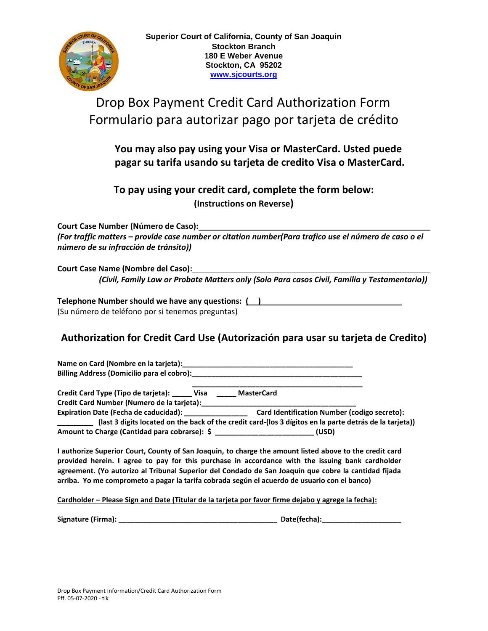

# Drop Box Payment Credit Card Authorization Form Formulario para autorizar pago por tarjeta de crédito

### **You may also pay using your Visa or MasterCard. Usted puede pagar su tarifa usando su tarjeta de credito Visa o MasterCard.**

### **To pay using your credit card, complete the form below: (Instructions on Reverse)**

**Court Case Number (Número de Caso):**

*(For traffic matters – provide case number or citation number(Para trafico use el número de caso o el número de su infracción de tránsito))*

**Court Case Name (Nombre del Caso):**  *(Civil, Family Law or Probate Matters only (Solo Para casos Civil, Familia y Testamentario))*

**Telephone Number should we have any questions:****( )** (Su número de teléfono por si tenemos preguntas)

## **Authorization for Credit Card Use (Autorización para usar su tarjeta de Credito)**

Name on Card (Nombre en la tarjeta): **Billing Address (Domicilio para el cobro):\_\_\_\_\_\_\_\_\_\_\_\_\_\_\_\_\_\_\_\_\_\_\_\_\_\_\_\_\_\_\_\_\_\_\_\_\_\_\_\_\_\_\_**

 **\_\_\_\_\_\_\_\_\_\_\_\_\_\_\_\_\_\_\_\_\_\_\_\_\_\_\_\_\_\_\_\_\_\_\_\_\_\_\_\_\_\_\_ Credit Card Type (Tipo de tarjeta): \_\_\_\_\_ Visa \_\_\_\_\_ MasterCard**

**Credit Card Number (Numero de la tarjeta):\_\_\_\_\_\_\_\_\_\_\_\_\_\_\_\_\_\_\_\_\_\_\_\_\_\_\_\_\_\_\_\_\_\_\_\_\_\_\_** 

**Expiration Date (Fecha de caducidad): \_\_\_\_\_\_\_\_\_\_\_\_\_\_\_\_ Card Identification Number (codigo secreto): \_\_\_\_\_\_\_\_\_ (last 3 digits located on the back of the credit card-(los 3 dígitos en la parte detrás de la tarjeta)) Amount to Charge (Cantidad para cobrarse): \$ \_\_\_\_\_\_\_\_\_\_\_\_\_\_\_\_\_\_\_\_\_\_\_\_\_ (USD)**

**I authorize Superior Court, County of San Joaquin, to charge the amount listed above to the credit card provided herein. I agree to pay for this purchase in accordance with the issuing bank cardholder agreement. (Yo autorizo al Tribunal Superior del Condado de San Joaquín que cobre la cantidad fijada arriba. Yo me comprometo a pagar la tarifa cobrada según el acuerdo de usuario con el banco)** 

**Cardholder – Please Sign and Date (Titular de la tarjeta por favor firme dejabo y agrege la fecha):**

**Signature (Firma): \_\_\_\_\_\_\_\_\_\_\_\_\_\_\_\_\_\_\_\_\_\_\_\_\_\_\_\_\_\_\_\_\_\_\_\_\_\_\_\_ Date(fecha):\_\_\_\_\_\_\_\_\_\_\_\_\_\_\_\_\_\_\_\_**